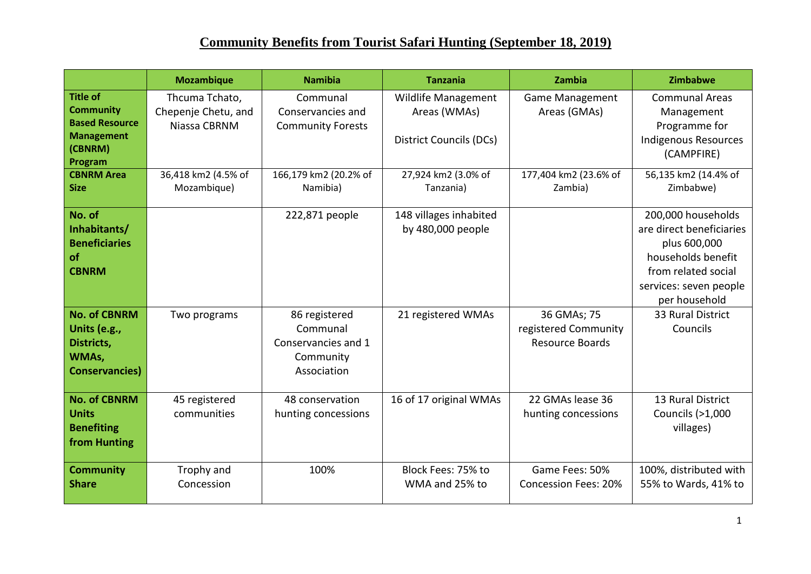|                                                                                                         | <b>Mozambique</b>                                     | <b>Namibia</b>                                                               | <b>Tanzania</b>                                                       | Zambia                                                        | Zimbabwe                                                                                                                                               |
|---------------------------------------------------------------------------------------------------------|-------------------------------------------------------|------------------------------------------------------------------------------|-----------------------------------------------------------------------|---------------------------------------------------------------|--------------------------------------------------------------------------------------------------------------------------------------------------------|
| <b>Title of</b><br><b>Community</b><br><b>Based Resource</b><br><b>Management</b><br>(CBNRM)<br>Program | Thcuma Tchato,<br>Chepenje Chetu, and<br>Niassa CBRNM | Communal<br>Conservancies and<br><b>Community Forests</b>                    | Wildlife Management<br>Areas (WMAs)<br><b>District Councils (DCs)</b> | <b>Game Management</b><br>Areas (GMAs)                        | <b>Communal Areas</b><br>Management<br>Programme for<br><b>Indigenous Resources</b><br>(CAMPFIRE)                                                      |
| <b>CBNRM Area</b><br><b>Size</b>                                                                        | 36,418 km2 (4.5% of<br>Mozambique)                    | 166,179 km2 (20.2% of<br>Namibia)                                            | 27,924 km2 (3.0% of<br>Tanzania)                                      | 177,404 km2 (23.6% of<br>Zambia)                              | 56,135 km2 (14.4% of<br>Zimbabwe)                                                                                                                      |
| No. of<br>Inhabitants/<br><b>Beneficiaries</b><br>of<br><b>CBNRM</b>                                    |                                                       | 222,871 people                                                               | 148 villages inhabited<br>by 480,000 people                           |                                                               | 200,000 households<br>are direct beneficiaries<br>plus 600,000<br>households benefit<br>from related social<br>services: seven people<br>per household |
| <b>No. of CBNRM</b><br>Units (e.g.,<br>Districts,<br>WMAs,<br><b>Conservancies</b> )                    | Two programs                                          | 86 registered<br>Communal<br>Conservancies and 1<br>Community<br>Association | 21 registered WMAs                                                    | 36 GMAs; 75<br>registered Community<br><b>Resource Boards</b> | 33 Rural District<br>Councils                                                                                                                          |
| <b>No. of CBNRM</b><br><b>Units</b><br><b>Benefiting</b><br>from Hunting                                | 45 registered<br>communities                          | 48 conservation<br>hunting concessions                                       | 16 of 17 original WMAs                                                | 22 GMAs lease 36<br>hunting concessions                       | 13 Rural District<br>Councils (>1,000<br>villages)                                                                                                     |
| <b>Community</b><br><b>Share</b>                                                                        | Trophy and<br>Concession                              | 100%                                                                         | Block Fees: 75% to<br>WMA and 25% to                                  | Game Fees: 50%<br><b>Concession Fees: 20%</b>                 | 100%, distributed with<br>55% to Wards, 41% to                                                                                                         |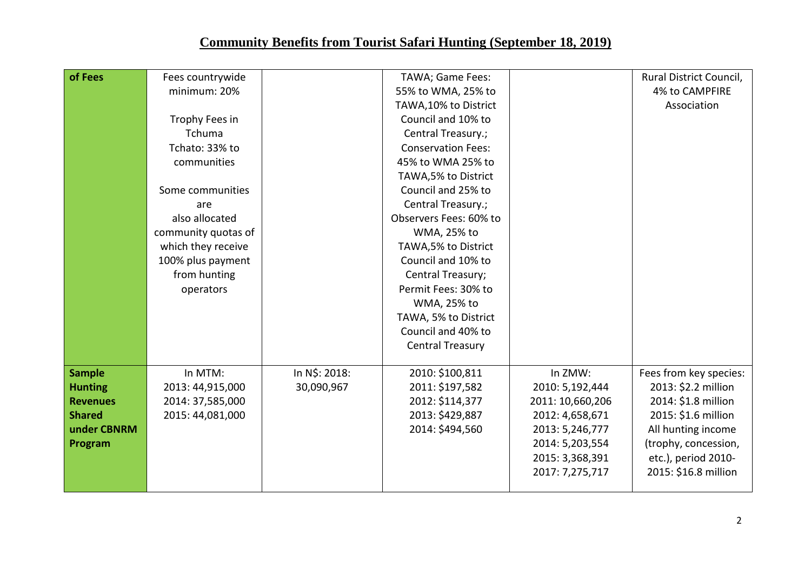| of Fees         | Fees countrywide    |               | TAWA; Game Fees:          |                  | Rural District Council, |
|-----------------|---------------------|---------------|---------------------------|------------------|-------------------------|
|                 | minimum: 20%        |               | 55% to WMA, 25% to        |                  | 4% to CAMPFIRE          |
|                 |                     |               | TAWA, 10% to District     |                  | Association             |
|                 | Trophy Fees in      |               | Council and 10% to        |                  |                         |
|                 | Tchuma              |               | Central Treasury.;        |                  |                         |
|                 | Tchato: 33% to      |               | <b>Conservation Fees:</b> |                  |                         |
|                 | communities         |               | 45% to WMA 25% to         |                  |                         |
|                 |                     |               | TAWA, 5% to District      |                  |                         |
|                 | Some communities    |               | Council and 25% to        |                  |                         |
|                 | are                 |               | Central Treasury.;        |                  |                         |
|                 | also allocated      |               | Observers Fees: 60% to    |                  |                         |
|                 | community quotas of |               | WMA, 25% to               |                  |                         |
|                 | which they receive  |               | TAWA, 5% to District      |                  |                         |
|                 | 100% plus payment   |               | Council and 10% to        |                  |                         |
|                 | from hunting        |               | Central Treasury;         |                  |                         |
|                 | operators           |               | Permit Fees: 30% to       |                  |                         |
|                 |                     |               | WMA, 25% to               |                  |                         |
|                 |                     |               | TAWA, 5% to District      |                  |                         |
|                 |                     |               | Council and 40% to        |                  |                         |
|                 |                     |               | <b>Central Treasury</b>   |                  |                         |
| <b>Sample</b>   | In MTM:             | In N\$: 2018: | 2010: \$100,811           | In ZMW:          | Fees from key species:  |
| <b>Hunting</b>  | 2013: 44,915,000    | 30,090,967    | 2011: \$197,582           | 2010: 5,192,444  | 2013: \$2.2 million     |
| <b>Revenues</b> | 2014: 37,585,000    |               | 2012: \$114,377           | 2011: 10,660,206 | 2014: \$1.8 million     |
| <b>Shared</b>   | 2015: 44,081,000    |               | 2013: \$429,887           | 2012: 4,658,671  | 2015: \$1.6 million     |
| under CBNRM     |                     |               | 2014: \$494,560           | 2013: 5,246,777  | All hunting income      |
| Program         |                     |               |                           | 2014: 5,203,554  | (trophy, concession,    |
|                 |                     |               |                           | 2015: 3,368,391  | etc.), period 2010-     |
|                 |                     |               |                           | 2017: 7,275,717  | 2015: \$16.8 million    |
|                 |                     |               |                           |                  |                         |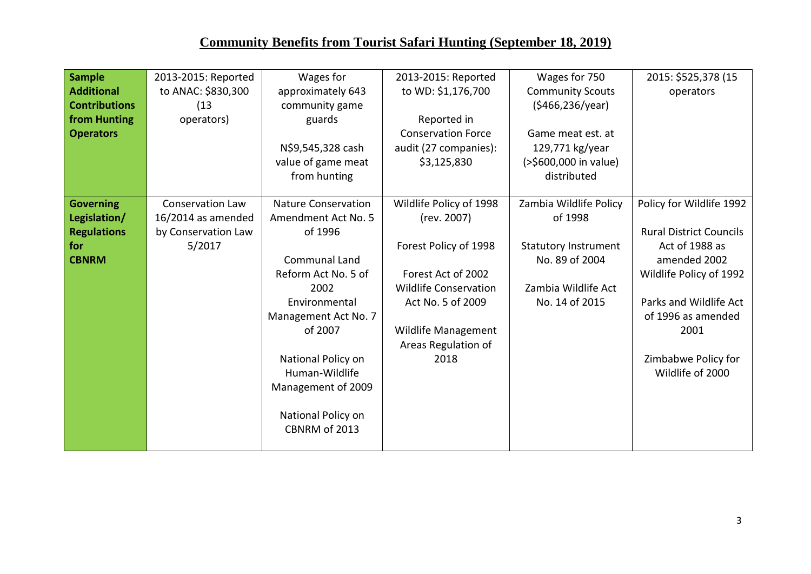| <b>Sample</b>        | 2013-2015: Reported     | Wages for                  | 2013-2015: Reported          | Wages for 750               | 2015: \$525,378 (15            |
|----------------------|-------------------------|----------------------------|------------------------------|-----------------------------|--------------------------------|
| <b>Additional</b>    | to ANAC: \$830,300      | approximately 643          | to WD: \$1,176,700           | <b>Community Scouts</b>     | operators                      |
| <b>Contributions</b> | (13)                    | community game             |                              | (\$466,236/year)            |                                |
| from Hunting         | operators)              | guards                     | Reported in                  |                             |                                |
| <b>Operators</b>     |                         |                            | <b>Conservation Force</b>    | Game meat est. at           |                                |
|                      |                         | N\$9,545,328 cash          | audit (27 companies):        | 129,771 kg/year             |                                |
|                      |                         | value of game meat         | \$3,125,830                  | (>\$600,000 in value)       |                                |
|                      |                         | from hunting               |                              | distributed                 |                                |
|                      |                         |                            |                              |                             |                                |
| <b>Governing</b>     | <b>Conservation Law</b> | <b>Nature Conservation</b> | Wildlife Policy of 1998      | Zambia Wildlife Policy      | Policy for Wildlife 1992       |
| Legislation/         | 16/2014 as amended      | Amendment Act No. 5        | (rev. 2007)                  | of 1998                     |                                |
| <b>Regulations</b>   | by Conservation Law     | of 1996                    |                              |                             | <b>Rural District Councils</b> |
| for                  | 5/2017                  |                            | Forest Policy of 1998        | <b>Statutory Instrument</b> | Act of 1988 as                 |
| <b>CBNRM</b>         |                         | <b>Communal Land</b>       |                              | No. 89 of 2004              | amended 2002                   |
|                      |                         | Reform Act No. 5 of        | Forest Act of 2002           |                             | Wildlife Policy of 1992        |
|                      |                         | 2002                       | <b>Wildlife Conservation</b> | Zambia Wildlife Act         |                                |
|                      |                         | Environmental              | Act No. 5 of 2009            | No. 14 of 2015              | Parks and Wildlife Act         |
|                      |                         | Management Act No. 7       |                              |                             | of 1996 as amended             |
|                      |                         | of 2007                    | Wildlife Management          |                             | 2001                           |
|                      |                         |                            | Areas Regulation of          |                             |                                |
|                      |                         | National Policy on         | 2018                         |                             | Zimbabwe Policy for            |
|                      |                         | Human-Wildlife             |                              |                             | Wildlife of 2000               |
|                      |                         | Management of 2009         |                              |                             |                                |
|                      |                         |                            |                              |                             |                                |
|                      |                         | National Policy on         |                              |                             |                                |
|                      |                         | CBNRM of 2013              |                              |                             |                                |
|                      |                         |                            |                              |                             |                                |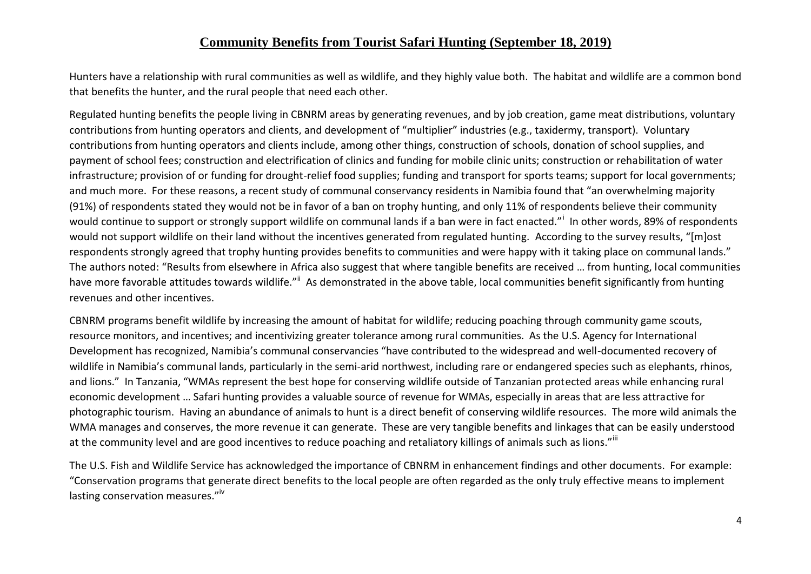Hunters have a relationship with rural communities as well as wildlife, and they highly value both. The habitat and wildlife are a common bond that benefits the hunter, and the rural people that need each other.

Regulated hunting benefits the people living in CBNRM areas by generating revenues, and by job creation, game meat distributions, voluntary contributions from hunting operators and clients, and development of "multiplier" industries (e.g., taxidermy, transport). Voluntary contributions from hunting operators and clients include, among other things, construction of schools, donation of school supplies, and payment of school fees; construction and electrification of clinics and funding for mobile clinic units; construction or rehabilitation of water infrastructure; provision of or funding for drought-relief food supplies; funding and transport for sports teams; support for local governments; and much more. For these reasons, a recent study of communal conservancy residents in Namibia found that "an overwhelming majority (91%) of respondents stated they would not be in favor of a ban on trophy hunting, and only 11% of respondents believe their community would continue to support or strongly support wildlife on communal lands if a ban were in fact enacted."<sup>i</sup> In other words, 89% of respondents would not support wildlife on their land without the incentives generated from regulated hunting. According to the survey results, "[m]ost respondents strongly agreed that trophy hunting provides benefits to communities and were happy with it taking place on communal lands." The authors noted: "Results from elsewhere in Africa also suggest that where tangible benefits are received … from hunting, local communities have more favorable attitudes towards wildlife."<sup>ii</sup> As demonstrated in the above table, local communities benefit significantly from hunting revenues and other incentives.

CBNRM programs benefit wildlife by increasing the amount of habitat for wildlife; reducing poaching through community game scouts, resource monitors, and incentives; and incentivizing greater tolerance among rural communities. As the U.S. Agency for International Development has recognized, Namibia's communal conservancies "have contributed to the widespread and well-documented recovery of wildlife in Namibia's communal lands, particularly in the semi-arid northwest, including rare or endangered species such as elephants, rhinos, and lions." In Tanzania, "WMAs represent the best hope for conserving wildlife outside of Tanzanian protected areas while enhancing rural economic development … Safari hunting provides a valuable source of revenue for WMAs, especially in areas that are less attractive for photographic tourism. Having an abundance of animals to hunt is a direct benefit of conserving wildlife resources. The more wild animals the WMA manages and conserves, the more revenue it can generate. These are very tangible benefits and linkages that can be easily understood at the community level and are good incentives to reduce poaching and retaliatory killings of animals such as lions."iii

The U.S. Fish and Wildlife Service has acknowledged the importance of CBNRM in enhancement findings and other documents. For example: "Conservation programs that generate direct benefits to the local people are often regarded as the only truly effective means to implement lasting conservation measures."<sup>iv</sup>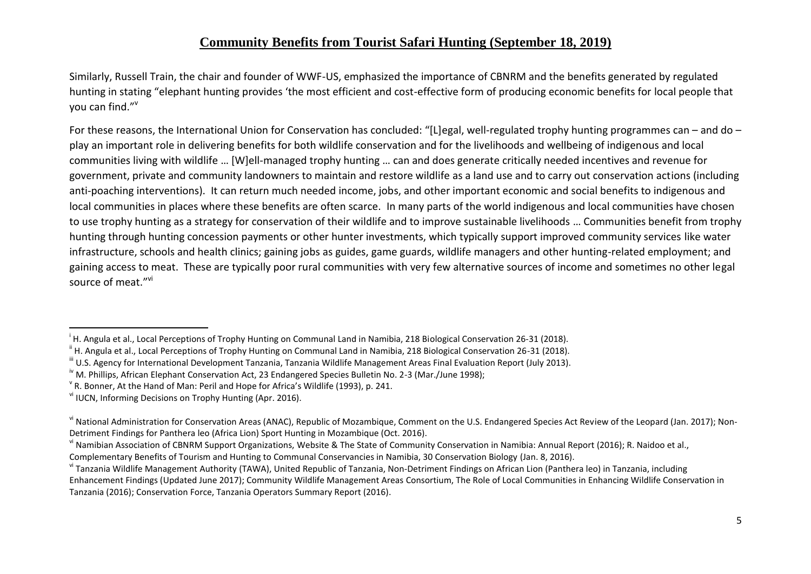Similarly, Russell Train, the chair and founder of WWF-US, emphasized the importance of CBNRM and the benefits generated by regulated hunting in stating "elephant hunting provides 'the most efficient and cost-effective form of producing economic benefits for local people that you can find."<sup>v</sup>

For these reasons, the International Union for Conservation has concluded: "[L]egal, well-regulated trophy hunting programmes can – and do – play an important role in delivering benefits for both wildlife conservation and for the livelihoods and wellbeing of indigenous and local communities living with wildlife … [W]ell-managed trophy hunting … can and does generate critically needed incentives and revenue for government, private and community landowners to maintain and restore wildlife as a land use and to carry out conservation actions (including anti-poaching interventions). It can return much needed income, jobs, and other important economic and social benefits to indigenous and local communities in places where these benefits are often scarce. In many parts of the world indigenous and local communities have chosen to use trophy hunting as a strategy for conservation of their wildlife and to improve sustainable livelihoods … Communities benefit from trophy hunting through hunting concession payments or other hunter investments, which typically support improved community services like water infrastructure, schools and health clinics; gaining jobs as guides, game guards, wildlife managers and other hunting-related employment; and gaining access to meat. These are typically poor rural communities with very few alternative sources of income and sometimes no other legal source of meat."<sup>vi</sup>

 $\overline{a}$ 

<sup>&</sup>lt;sup>i</sup> H. Angula et al., Local Perceptions of Trophy Hunting on Communal Land in Namibia, 218 Biological Conservation 26-31 (2018).

<sup>&</sup>lt;sup>ii</sup> H. Angula et al., Local Perceptions of Trophy Hunting on Communal Land in Namibia, 218 Biological Conservation 26-31 (2018).

iii U.S. Agency for International Development Tanzania, Tanzania Wildlife Management Areas Final Evaluation Report (July 2013).

<sup>&</sup>lt;sup>iv</sup> M. Phillips, African Elephant Conservation Act, 23 Endangered Species Bulletin No. 2-3 (Mar./June 1998);

 $\rm{^{\vee}}$  R. Bonner, At the Hand of Man: Peril and Hope for Africa's Wildlife (1993), p. 241.

vi IUCN, Informing Decisions on Trophy Hunting (Apr. 2016).

vi National Administration for Conservation Areas (ANAC), Republic of Mozambique, Comment on the U.S. Endangered Species Act Review of the Leopard (Jan. 2017); Non-Detriment Findings for Panthera leo (Africa Lion) Sport Hunting in Mozambique (Oct. 2016).

vi Namibian Association of CBNRM Support Organizations, Website & The State of Community Conservation in Namibia: Annual Report (2016); R. Naidoo et al., Complementary Benefits of Tourism and Hunting to Communal Conservancies in Namibia, 30 Conservation Biology (Jan. 8, 2016).

vi Tanzania Wildlife Management Authority (TAWA), United Republic of Tanzania, Non-Detriment Findings on African Lion (Panthera leo) in Tanzania, including Enhancement Findings (Updated June 2017); Community Wildlife Management Areas Consortium, The Role of Local Communities in Enhancing Wildlife Conservation in Tanzania (2016); Conservation Force, Tanzania Operators Summary Report (2016).